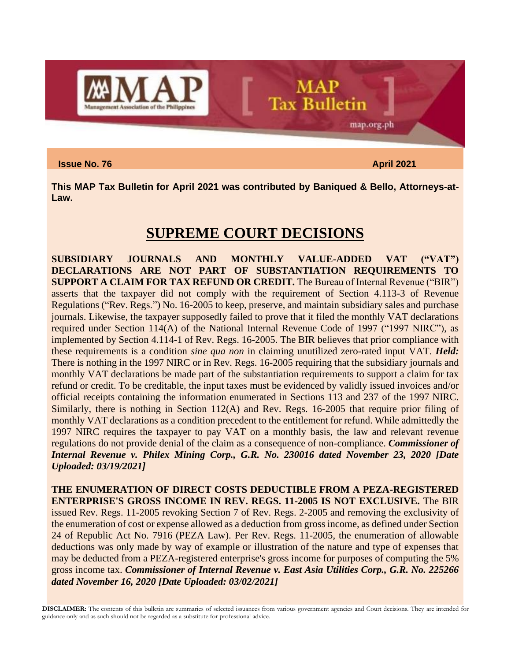

**Issue No. 76** April 2021 **April 2021** 

map.org.ph

**This MAP Tax Bulletin for April 2021 was contributed by Baniqued & Bello, Attorneys-at-Law.**

**MAP** 

**Tax Bulletin** 

### **SUPREME COURT DECISIONS**

**SUBSIDIARY JOURNALS AND MONTHLY VALUE-ADDED VAT ("VAT") DECLARATIONS ARE NOT PART OF SUBSTANTIATION REQUIREMENTS TO SUPPORT A CLAIM FOR TAX REFUND OR CREDIT.** The Bureau of Internal Revenue ("BIR") asserts that the taxpayer did not comply with the requirement of Section 4.113-3 of Revenue Regulations ("Rev. Regs.") No. 16-2005 to keep, preserve, and maintain subsidiary sales and purchase journals. Likewise, the taxpayer supposedly failed to prove that it filed the monthly VAT declarations required under Section 114(A) of the National Internal Revenue Code of 1997 ("1997 NIRC"), as implemented by Section 4.114-1 of Rev. Regs. 16-2005. The BIR believes that prior compliance with these requirements is a condition *sine qua non* in claiming unutilized zero-rated input VAT. *Held:* There is nothing in the 1997 NIRC or in Rev. Regs. 16-2005 requiring that the subsidiary journals and monthly VAT declarations be made part of the substantiation requirements to support a claim for tax refund or credit. To be creditable, the input taxes must be evidenced by validly issued invoices and/or official receipts containing the information enumerated in Sections 113 and 237 of the 1997 NIRC. Similarly, there is nothing in Section 112(A) and Rev. Regs. 16-2005 that require prior filing of monthly VAT declarations as a condition precedent to the entitlement for refund. While admittedly the 1997 NIRC requires the taxpayer to pay VAT on a monthly basis, the law and relevant revenue regulations do not provide denial of the claim as a consequence of non-compliance. *Commissioner of Internal Revenue v. Philex Mining Corp., G.R. No. 230016 dated November 23, 2020 [Date Uploaded: 03/19/2021]*

**THE ENUMERATION OF DIRECT COSTS DEDUCTIBLE FROM A PEZA-REGISTERED ENTERPRISE'S GROSS INCOME IN REV. REGS. 11-2005 IS NOT EXCLUSIVE.** The BIR issued Rev. Regs. 11-2005 revoking Section 7 of Rev. Regs. 2-2005 and removing the exclusivity of the enumeration of cost or expense allowed as a deduction from gross income, as defined under Section 24 of Republic Act No. 7916 (PEZA Law). Per Rev. Regs. 11-2005, the enumeration of allowable deductions was only made by way of example or illustration of the nature and type of expenses that may be deducted from a PEZA-registered enterprise's gross income for purposes of computing the 5% gross income tax. *Commissioner of Internal Revenue v. East Asia Utilities Corp., G.R. No. 225266 dated November 16, 2020 [Date Uploaded: 03/02/2021]*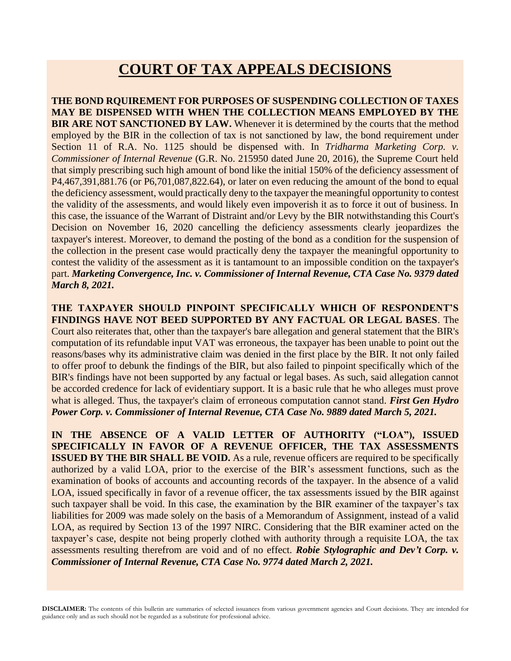# **COURT OF TAX APPEALS DECISIONS**

**THE BOND RQUIREMENT FOR PURPOSES OF SUSPENDING COLLECTION OF TAXES MAY BE DISPENSED WITH WHEN THE COLLECTION MEANS EMPLOYED BY THE BIR ARE NOT SANCTIONED BY LAW.** Whenever it is determined by the courts that the method employed by the BIR in the collection of tax is not sanctioned by law, the bond requirement under Section 11 of R.A. No. 1125 should be dispensed with. In *Tridharma Marketing Corp. v. Commissioner of Internal Revenue* (G.R. No. 215950 dated June 20, 2016), the Supreme Court held that simply prescribing such high amount of bond like the initial 150% of the deficiency assessment of P4,467,391,881.76 (or P6,701,087,822.64), or later on even reducing the amount of the bond to equal the deficiency assessment, would practically deny to the taxpayer the meaningful opportunity to contest the validity of the assessments, and would likely even impoverish it as to force it out of business. In this case, the issuance of the Warrant of Distraint and/or Levy by the BIR notwithstanding this Court's Decision on November 16, 2020 cancelling the deficiency assessments clearly jeopardizes the taxpayer's interest. Moreover, to demand the posting of the bond as a condition for the suspension of the collection in the present case would practically deny the taxpayer the meaningful opportunity to contest the validity of the assessment as it is tantamount to an impossible condition on the taxpayer's part. *Marketing Convergence, Inc. v. Commissioner of Internal Revenue, CTA Case No. 9379 dated March 8, 2021.*

**THE TAXPAYER SHOULD PINPOINT SPECIFICALLY WHICH OF RESPONDENT'S FINDINGS HAVE NOT BEED SUPPORTED BY ANY FACTUAL OR LEGAL BASES**. The Court also reiterates that, other than the taxpayer's bare allegation and general statement that the BIR's computation of its refundable input VAT was erroneous, the taxpayer has been unable to point out the reasons/bases why its administrative claim was denied in the first place by the BIR. It not only failed to offer proof to debunk the findings of the BIR, but also failed to pinpoint specifically which of the BIR's findings have not been supported by any factual or legal bases. As such, said allegation cannot be accorded credence for lack of evidentiary support. It is a basic rule that he who alleges must prove what is alleged. Thus, the taxpayer's claim of erroneous computation cannot stand. *First Gen Hydro Power Corp. v. Commissioner of Internal Revenue, CTA Case No. 9889 dated March 5, 2021.*

**IN THE ABSENCE OF A VALID LETTER OF AUTHORITY ("LOA"), ISSUED SPECIFICALLY IN FAVOR OF A REVENUE OFFICER, THE TAX ASSESSMENTS ISSUED BY THE BIR SHALL BE VOID.** As a rule, revenue officers are required to be specifically authorized by a valid LOA, prior to the exercise of the BIR's assessment functions, such as the examination of books of accounts and accounting records of the taxpayer. In the absence of a valid LOA, issued specifically in favor of a revenue officer, the tax assessments issued by the BIR against such taxpayer shall be void. In this case, the examination by the BIR examiner of the taxpayer's tax liabilities for 2009 was made solely on the basis of a Memorandum of Assignment, instead of a valid LOA, as required by Section 13 of the 1997 NIRC. Considering that the BIR examiner acted on the taxpayer's case, despite not being properly clothed with authority through a requisite LOA, the tax assessments resulting therefrom are void and of no effect. *Robie Stylographic and Dev't Corp. v. Commissioner of Internal Revenue, CTA Case No. 9774 dated March 2, 2021.*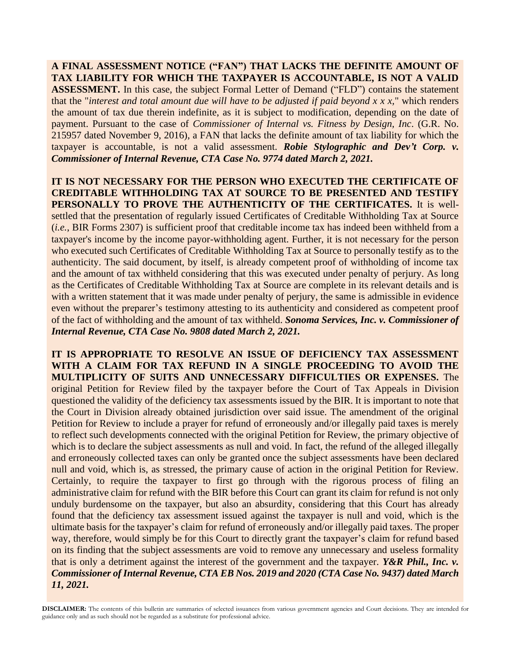**A FINAL ASSESSMENT NOTICE ("FAN") THAT LACKS THE DEFINITE AMOUNT OF TAX LIABILITY FOR WHICH THE TAXPAYER IS ACCOUNTABLE, IS NOT A VALID ASSESSMENT.** In this case, the subject Formal Letter of Demand ("FLD") contains the statement that the "*interest and total amount due will have to be adjusted if paid beyond x x x,*" which renders the amount of tax due therein indefinite, as it is subject to modification, depending on the date of payment. Pursuant to the case of *Commissioner of Internal vs. Fitness by Design, Inc*. (G.R. No. 215957 dated November 9, 2016), a FAN that lacks the definite amount of tax liability for which the taxpayer is accountable, is not a valid assessment. *Robie Stylographic and Dev't Corp. v. Commissioner of Internal Revenue, CTA Case No. 9774 dated March 2, 2021.*

**IT IS NOT NECESSARY FOR THE PERSON WHO EXECUTED THE CERTIFICATE OF CREDITABLE WITHHOLDING TAX AT SOURCE TO BE PRESENTED AND TESTIFY PERSONALLY TO PROVE THE AUTHENTICITY OF THE CERTIFICATES.** It is wellsettled that the presentation of regularly issued Certificates of Creditable Withholding Tax at Source (*i.e.*, BIR Forms 2307) is sufficient proof that creditable income tax has indeed been withheld from a taxpayer's income by the income payor-withholding agent. Further, it is not necessary for the person who executed such Certificates of Creditable Withholding Tax at Source to personally testify as to the authenticity. The said document, by itself, is already competent proof of withholding of income tax and the amount of tax withheld considering that this was executed under penalty of perjury. As long as the Certificates of Creditable Withholding Tax at Source are complete in its relevant details and is with a written statement that it was made under penalty of perjury, the same is admissible in evidence even without the preparer's testimony attesting to its authenticity and considered as competent proof of the fact of withholding and the amount of tax withheld. *Sonoma Services, Inc. v. Commissioner of Internal Revenue, CTA Case No. 9808 dated March 2, 2021.*

**IT IS APPROPRIATE TO RESOLVE AN ISSUE OF DEFICIENCY TAX ASSESSMENT WITH A CLAIM FOR TAX REFUND IN A SINGLE PROCEEDING TO AVOID THE MULTIPLICITY OF SUITS AND UNNECESSARY DIFFICULTIES OR EXPENSES.** The original Petition for Review filed by the taxpayer before the Court of Tax Appeals in Division questioned the validity of the deficiency tax assessments issued by the BIR. It is important to note that the Court in Division already obtained jurisdiction over said issue. The amendment of the original Petition for Review to include a prayer for refund of erroneously and/or illegally paid taxes is merely to reflect such developments connected with the original Petition for Review, the primary objective of which is to declare the subject assessments as null and void. In fact, the refund of the alleged illegally and erroneously collected taxes can only be granted once the subject assessments have been declared null and void, which is, as stressed, the primary cause of action in the original Petition for Review. Certainly, to require the taxpayer to first go through with the rigorous process of filing an administrative claim for refund with the BIR before this Court can grant its claim for refund is not only unduly burdensome on the taxpayer, but also an absurdity, considering that this Court has already found that the deficiency tax assessment issued against the taxpayer is null and void, which is the ultimate basis for the taxpayer's claim for refund of erroneously and/or illegally paid taxes. The proper way, therefore, would simply be for this Court to directly grant the taxpayer's claim for refund based on its finding that the subject assessments are void to remove any unnecessary and useless formality that is only a detriment against the interest of the government and the taxpayer. *Y&R Phil., Inc. v. Commissioner of Internal Revenue, CTA EB Nos. 2019 and 2020 (CTA Case No. 9437) dated March 11, 2021.*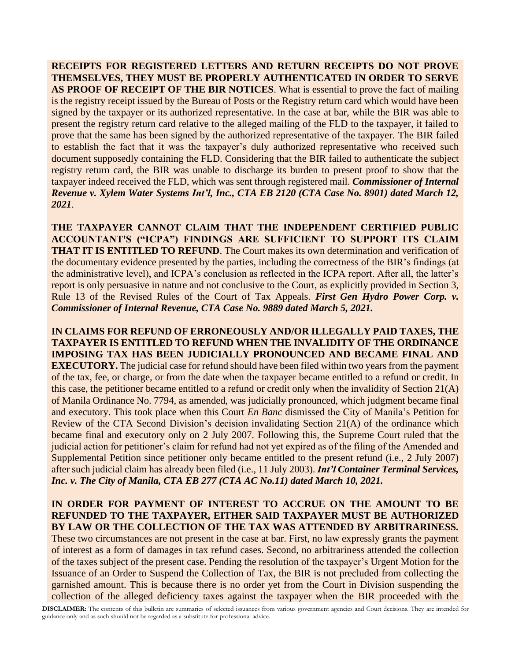**RECEIPTS FOR REGISTERED LETTERS AND RETURN RECEIPTS DO NOT PROVE THEMSELVES, THEY MUST BE PROPERLY AUTHENTICATED IN ORDER TO SERVE AS PROOF OF RECEIPT OF THE BIR NOTICES**. What is essential to prove the fact of mailing is the registry receipt issued by the Bureau of Posts or the Registry return card which would have been signed by the taxpayer or its authorized representative. In the case at bar, while the BIR was able to present the registry return card relative to the alleged mailing of the FLD to the taxpayer, it failed to prove that the same has been signed by the authorized representative of the taxpayer. The BIR failed to establish the fact that it was the taxpayer's duly authorized representative who received such document supposedly containing the FLD. Considering that the BIR failed to authenticate the subject registry return card, the BIR was unable to discharge its burden to present proof to show that the taxpayer indeed received the FLD, which was sent through registered mail. *Commissioner of Internal Revenue v. Xylem Water Systems Int'l, Inc., CTA EB 2120 (CTA Case No. 8901) dated March 12, 2021*.

**THE TAXPAYER CANNOT CLAIM THAT THE INDEPENDENT CERTIFIED PUBLIC ACCOUNTANT'S ("ICPA") FINDINGS ARE SUFFICIENT TO SUPPORT ITS CLAIM THAT IT IS ENTITLED TO REFUND**. The Court makes its own determination and verification of the documentary evidence presented by the parties, including the correctness of the BIR's findings (at the administrative level), and ICPA's conclusion as reflected in the ICPA report. After all, the latter's report is only persuasive in nature and not conclusive to the Court, as explicitly provided in Section 3, Rule 13 of the Revised Rules of the Court of Tax Appeals. *First Gen Hydro Power Corp. v. Commissioner of Internal Revenue, CTA Case No. 9889 dated March 5, 2021.*

**IN CLAIMS FOR REFUND OF ERRONEOUSLY AND/OR ILLEGALLY PAID TAXES, THE TAXPAYER IS ENTITLED TO REFUND WHEN THE INVALIDITY OF THE ORDINANCE IMPOSING TAX HAS BEEN JUDICIALLY PRONOUNCED AND BECAME FINAL AND EXECUTORY.** The judicial case for refund should have been filed within two years from the payment of the tax, fee, or charge, or from the date when the taxpayer became entitled to a refund or credit. In this case, the petitioner became entitled to a refund or credit only when the invalidity of Section 21(A) of Manila Ordinance No. 7794, as amended, was judicially pronounced, which judgment became final and executory. This took place when this Court *En Banc* dismissed the City of Manila's Petition for Review of the CTA Second Division's decision invalidating Section 21(A) of the ordinance which became final and executory only on 2 July 2007. Following this, the Supreme Court ruled that the judicial action for petitioner's claim for refund had not yet expired as of the filing of the Amended and Supplemental Petition since petitioner only became entitled to the present refund (i.e., 2 July 2007) after such judicial claim has already been filed (i.e., 11 July 2003). *Int'l Container Terminal Services, Inc. v. The City of Manila, CTA EB 277 (CTA AC No.11) dated March 10, 2021.*

### **IN ORDER FOR PAYMENT OF INTEREST TO ACCRUE ON THE AMOUNT TO BE REFUNDED TO THE TAXPAYER, EITHER SAID TAXPAYER MUST BE AUTHORIZED BY LAW OR THE COLLECTION OF THE TAX WAS ATTENDED BY ARBITRARINESS.**

These two circumstances are not present in the case at bar. First, no law expressly grants the payment of interest as a form of damages in tax refund cases. Second, no arbitrariness attended the collection of the taxes subject of the present case. Pending the resolution of the taxpayer's Urgent Motion for the Issuance of an Order to Suspend the Collection of Tax, the BIR is not precluded from collecting the garnished amount. This is because there is no order yet from the Court in Division suspending the collection of the alleged deficiency taxes against the taxpayer when the BIR proceeded with the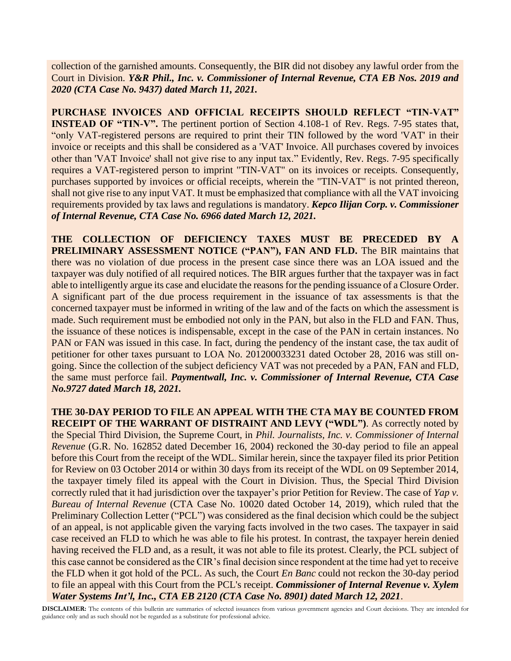collection of the garnished amounts. Consequently, the BIR did not disobey any lawful order from the Court in Division. *Y&R Phil., Inc. v. Commissioner of Internal Revenue, CTA EB Nos. 2019 and 2020 (CTA Case No. 9437) dated March 11, 2021.*

**PURCHASE INVOICES AND OFFICIAL RECEIPTS SHOULD REFLECT "TIN-VAT" INSTEAD OF "TIN-V".** The pertinent portion of Section 4.108-1 of Rev. Regs. 7-95 states that, "only VAT-registered persons are required to print their TIN followed by the word 'VAT' in their invoice or receipts and this shall be considered as a 'VAT' Invoice. All purchases covered by invoices other than 'VAT Invoice' shall not give rise to any input tax." Evidently, Rev. Regs. 7-95 specifically requires a VAT-registered person to imprint "TIN-VAT" on its invoices or receipts. Consequently, purchases supported by invoices or official receipts, wherein the "TIN-VAT" is not printed thereon, shall not give rise to any input VAT. It must be emphasized that compliance with all the VAT invoicing requirements provided by tax laws and regulations is mandatory. *Kepco Ilijan Corp. v. Commissioner of Internal Revenue, CTA Case No. 6966 dated March 12, 2021.*

**THE COLLECTION OF DEFICIENCY TAXES MUST BE PRECEDED BY A PRELIMINARY ASSESSMENT NOTICE ("PAN"), FAN AND FLD.** The BIR maintains that there was no violation of due process in the present case since there was an LOA issued and the taxpayer was duly notified of all required notices. The BIR argues further that the taxpayer was in fact able to intelligently argue its case and elucidate the reasons for the pending issuance of a Closure Order. A significant part of the due process requirement in the issuance of tax assessments is that the concerned taxpayer must be informed in writing of the law and of the facts on which the assessment is made. Such requirement must be embodied not only in the PAN, but also in the FLD and FAN. Thus, the issuance of these notices is indispensable, except in the case of the PAN in certain instances. No PAN or FAN was issued in this case. In fact, during the pendency of the instant case, the tax audit of petitioner for other taxes pursuant to LOA No. 201200033231 dated October 28, 2016 was still ongoing. Since the collection of the subject deficiency VAT was not preceded by a PAN, FAN and FLD, the same must perforce fail. *Paymentwall, Inc. v. Commissioner of Internal Revenue, CTA Case No.9727 dated March 18, 2021.*

**THE 30-DAY PERIOD TO FILE AN APPEAL WITH THE CTA MAY BE COUNTED FROM RECEIPT OF THE WARRANT OF DISTRAINT AND LEVY ("WDL")**. As correctly noted by the Special Third Division, the Supreme Court, in *Phil. Journalists, Inc. v. Commissioner of Internal Revenue* (G.R. No. 162852 dated December 16, 2004) reckoned the 30-day period to file an appeal before this Court from the receipt of the WDL. Similar herein, since the taxpayer filed its prior Petition for Review on 03 October 2014 or within 30 days from its receipt of the WDL on 09 September 2014, the taxpayer timely filed its appeal with the Court in Division. Thus, the Special Third Division correctly ruled that it had jurisdiction over the taxpayer's prior Petition for Review. The case of *Yap v. Bureau of Internal Revenue* (CTA Case No. 10020 dated October 14, 2019), which ruled that the Preliminary Collection Letter ("PCL") was considered as the final decision which could be the subject of an appeal, is not applicable given the varying facts involved in the two cases. The taxpayer in said case received an FLD to which he was able to file his protest. In contrast, the taxpayer herein denied having received the FLD and, as a result, it was not able to file its protest. Clearly, the PCL subject of this case cannot be considered as the CIR's final decision since respondent at the time had yet to receive the FLD when it got hold of the PCL. As such, the Court *En Banc* could not reckon the 30-day period to file an appeal with this Court from the PCL's receipt. *Commissioner of Internal Revenue v. Xylem Water Systems Int'l, Inc., CTA EB 2120 (CTA Case No. 8901) dated March 12, 2021*.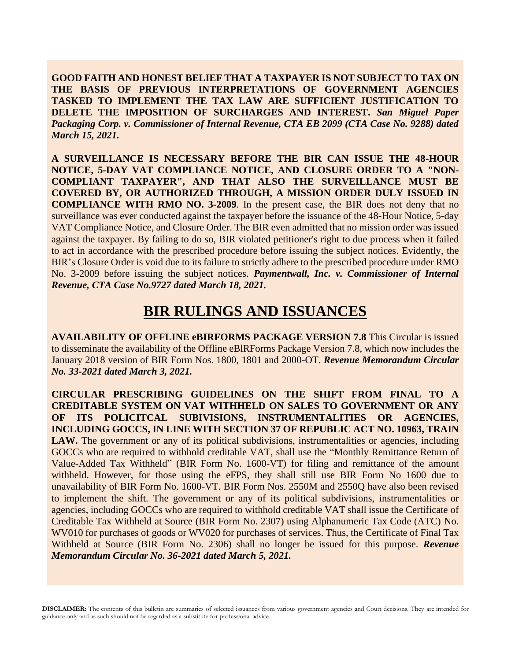**GOOD FAITH AND HONEST BELIEF THAT A TAXPAYER IS NOT SUBJECT TO TAX ON THE BASIS OF PREVIOUS INTERPRETATIONS OF GOVERNMENT AGENCIES TASKED TO IMPLEMENT THE TAX LAW ARE SUFFICIENT JUSTIFICATION TO DELETE THE IMPOSITION OF SURCHARGES AND INTEREST.** *San Miguel Paper Packaging Corp. v. Commissioner of Internal Revenue, CTA EB 2099 (CTA Case No. 9288) dated March 15, 2021.*

**A SURVEILLANCE IS NECESSARY BEFORE THE BIR CAN ISSUE THE 48-HOUR NOTICE, 5-DAY VAT COMPLIANCE NOTICE, AND CLOSURE ORDER TO A "NON-COMPLIANT TAXPAYER", AND THAT ALSO THE SURVEILLANCE MUST BE COVERED BY, OR AUTHORIZED THROUGH, A MISSION ORDER DULY ISSUED IN COMPLIANCE WITH RMO NO. 3-2009**. In the present case, the BIR does not deny that no surveillance was ever conducted against the taxpayer before the issuance of the 48-Hour Notice, 5-day VAT Compliance Notice, and Closure Order. The BIR even admitted that no mission order was issued against the taxpayer. By failing to do so, BIR violated petitioner's right to due process when it failed to act in accordance with the prescribed procedure before issuing the subject notices. Evidently, the BIR's Closure Order is void due to its failure to strictly adhere to the prescribed procedure under RMO No. 3-2009 before issuing the subject notices. *Paymentwall, Inc. v. Commissioner of Internal Revenue, CTA Case No.9727 dated March 18, 2021.*

# **BIR RULINGS AND ISSUANCES**

**AVAILABILITY OF OFFLINE eBIRFORMS PACKAGE VERSION 7.8** This Circular is issued to disseminate the availability of the Offline eBlRForms Package Version 7.8, which now includes the January 2018 version of BIR Form Nos. 1800, 1801 and 2000-OT. *Revenue Memorandum Circular No. 33-2021 dated March 3, 2021.*

**CIRCULAR PRESCRIBING GUIDELINES ON THE SHIFT FROM FINAL TO A CREDITABLE SYSTEM ON VAT WITHHELD ON SALES TO GOVERNMENT OR ANY OF ITS POLICITCAL SUBIVISIONS, INSTRUMENTALITIES OR AGENCIES, INCLUDING GOCCS, IN LINE WITH SECTION 37 OF REPUBLIC ACT NO. 10963, TRAIN**  LAW. The government or any of its political subdivisions, instrumentalities or agencies, including GOCCs who are required to withhold creditable VAT, shall use the "Monthly Remittance Return of Value-Added Tax Withheld" (BIR Form No. 1600-VT) for filing and remittance of the amount withheld. However, for those using the eFPS, they shall still use BIR Form No 1600 due to unavailability of BIR Form No. 1600-VT. BIR Form Nos. 2550M and 2550Q have also been revised to implement the shift. The government or any of its political subdivisions, instrumentalities or agencies, including GOCCs who are required to withhold creditable VAT shall issue the Certificate of Creditable Tax Withheld at Source (BIR Form No. 2307) using Alphanumeric Tax Code (ATC) No. WV010 for purchases of goods or WV020 for purchases of services. Thus, the Certificate of Final Tax Withheld at Source (BIR Form No. 2306) shall no longer be issued for this purpose. *Revenue Memorandum Circular No. 36-2021 dated March 5, 2021.*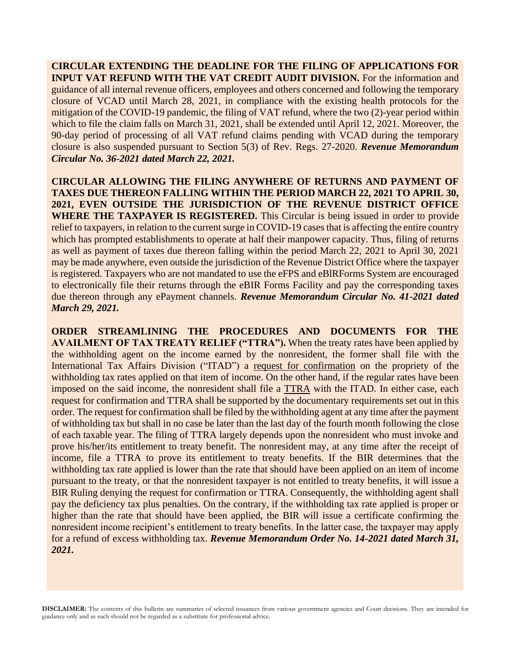**CIRCULAR EXTENDING THE DEADLINE FOR THE FILING OF APPLICATIONS FOR INPUT VAT REFUND WITH THE VAT CREDIT AUDIT DIVISION.** For the information and guidance of all internal revenue officers, employees and others concerned and following the temporary closure of VCAD until March 28, 2021, in compliance with the existing health protocols for the mitigation of the COVID-19 pandemic, the filing of VAT refund, where the two (2)-year period within which to file the claim falls on March 31, 2021, shall be extended until April 12, 2021. Moreover, the 90-day period of processing of all VAT refund claims pending with VCAD during the temporary closure is also suspended pursuant to Section 5(3) of Rev. Regs. 27-2020. *Revenue Memorandum Circular No. 36-2021 dated March 22, 2021.*

**CIRCULAR ALLOWING THE FILING ANYWHERE OF RETURNS AND PAYMENT OF TAXES DUE THEREON FALLING WITHIN THE PERIOD MARCH 22, 2021 TO APRIL 30, 2021, EVEN OUTSIDE THE JURISDICTION OF THE REVENUE DISTRICT OFFICE WHERE THE TAXPAYER IS REGISTERED.** This Circular is being issued in order to provide relief to taxpayers, in relation to the current surge in COVID-19 cases that is affecting the entire country which has prompted establishments to operate at half their manpower capacity. Thus, filing of returns as well as payment of taxes due thereon falling within the period March 22, 2021 to April 30, 2021 may be made anywhere, even outside the jurisdiction of the Revenue District Office where the taxpayer is registered. Taxpayers who are not mandated to use the eFPS and eBlRForms System are encouraged to electronically file their returns through the eBIR Forms Facility and pay the corresponding taxes due thereon through any ePayment channels. *Revenue Memorandum Circular No. 41-2021 dated March 29, 2021.*

**ORDER STREAMLINING THE PROCEDURES AND DOCUMENTS FOR THE AVAILMENT OF TAX TREATY RELIEF ("TTRA").** When the treaty rates have been applied by the withholding agent on the income earned by the nonresident, the former shall file with the International Tax Affairs Division ("ITAD") a request for confirmation on the propriety of the withholding tax rates applied on that item of income. On the other hand, if the regular rates have been imposed on the said income, the nonresident shall file a TTRA with the ITAD. In either case, each request for confirmation and TTRA shall be supported by the documentary requirements set out in this order. The request for confirmation shall be filed by the withholding agent at any time after the payment of withholding tax but shall in no case be later than the last day of the fourth month following the close of each taxable year. The filing of TTRA largely depends upon the nonresident who must invoke and prove his/her/its entitlement to treaty benefit. The nonresident may, at any time after the receipt of income, file a TTRA to prove its entitlement to treaty benefits. If the BIR determines that the withholding tax rate applied is lower than the rate that should have been applied on an item of income pursuant to the treaty, or that the nonresident taxpayer is not entitled to treaty benefits, it will issue a BIR Ruling denying the request for confirmation or TTRA. Consequently, the withholding agent shall pay the deficiency tax plus penalties. On the contrary, if the withholding tax rate applied is proper or higher than the rate that should have been applied, the BIR will issue a certificate confirming the nonresident income recipient's entitlement to treaty benefits. In the latter case, the taxpayer may apply for a refund of excess withholding tax. *Revenue Memorandum Order No. 14-2021 dated March 31, 2021.*